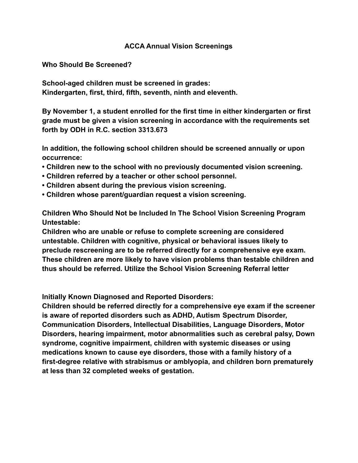## **ACCA Annual Vision Screenings**

**Who Should Be Screened?**

**School-aged children must be screened in grades: Kindergarten, first, third, fifth, seventh, ninth and eleventh.**

**By November 1, a student enrolled for the first time in either kindergarten or first grade must be given a vision screening in accordance with the requirements set forth by ODH in R.C. section 3313.673**

**In addition, the following school children should be screened annually or upon occurrence:**

- **Children new to the school with no previously documented vision screening.**
- **Children referred by a teacher or other school personnel.**
- **Children absent during the previous vision screening.**
- **Children whose parent/guardian request a vision screening.**

**Children Who Should Not be Included In The School Vision Screening Program Untestable:**

**Children who are unable or refuse to complete screening are considered untestable. Children with cognitive, physical or behavioral issues likely to preclude rescreening are to be referred directly for a comprehensive eye exam. These children are more likely to have vision problems than testable children and thus should be referred. Utilize the School Vision Screening Referral letter**

**Initially Known Diagnosed and Reported Disorders:**

**Children should be referred directly for a comprehensive eye exam if the screener is aware of reported disorders such as ADHD, Autism Spectrum Disorder, Communication Disorders, Intellectual Disabilities, Language Disorders, Motor Disorders, hearing impairment, motor abnormalities such as cerebral palsy, Down syndrome, cognitive impairment, children with systemic diseases or using medications known to cause eye disorders, those with a family history of a first-degree relative with strabismus or amblyopia, and children born prematurely at less than 32 completed weeks of gestation.**